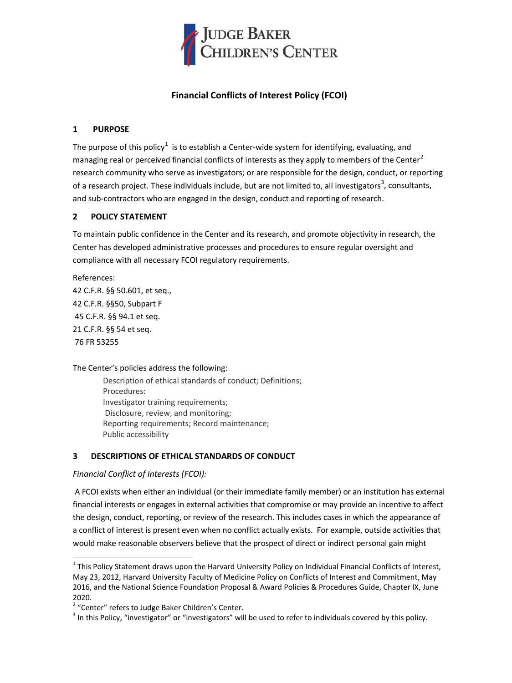

# **Financial Conflicts of Interest Policy (FCOI)**

## **1 PURPOSE**

The purpose of this policy<sup>[1](#page-0-0)</sup> is to establish a Center-wide system for identifying, evaluating, and managing real or perceived financial conflicts of interests as they apply to members of the Center<sup>[2](#page-0-1)</sup> research community who serve as investigators; or are responsible for the design, conduct, or reporting of a research project. These individuals include, but are not limited to, all investigators<sup>[3](#page-0-2)</sup>, consultants, and sub-contractors who are engaged in the design, conduct and reporting of research.

## **2 POLICY STATEMENT**

To maintain public confidence in the Center and its research, and promote objectivity in research, the Center has developed administrative processes and procedures to ensure regular oversight and compliance with all necessary FCOI regulatory requirements.

References: 42 C.F.R. §§ 50.601, et seq., 42 C.F.R. §§50, Subpart F 45 C.F.R. §§ 94.1 et seq. 21 C.F.R. §§ 54 et seq. 76 FR 53255

The Center's policies address the following:

Description of ethical standards of conduct; Definitions; Procedures: Investigator training requirements; Disclosure, review, and monitoring; Reporting requirements; Record maintenance; Public accessibility

## **3 DESCRIPTIONS OF ETHICAL STANDARDS OF CONDUCT**

### *Financial Conflict of Interests (FCOI):*

A FCOI exists when either an individual (or their immediate family member) or an institution has external financial interests or engages in external activities that compromise or may provide an incentive to affect the design, conduct, reporting, or review of the research. This includes cases in which the appearance of a conflict of interest is present even when no conflict actually exists. For example, outside activities that would make reasonable observers believe that the prospect of direct or indirect personal gain might

<span id="page-0-0"></span> $1$  This Policy Statement draws upon the Harvard University Policy on Individual Financial Conflicts of Interest, May 23, 2012, Harvard University Faculty of Medicine Policy on Conflicts of Interest and Commitment, May 2016, and the National Science Foundation Proposal & Award Policies & Procedures Guide, Chapter IX, June 2020.<br><sup>2</sup> "Center" refers to Judge Baker Children's Center.

<span id="page-0-1"></span>

<span id="page-0-2"></span> $3$  In this Policy, "investigator" or "investigators" will be used to refer to individuals covered by this policy.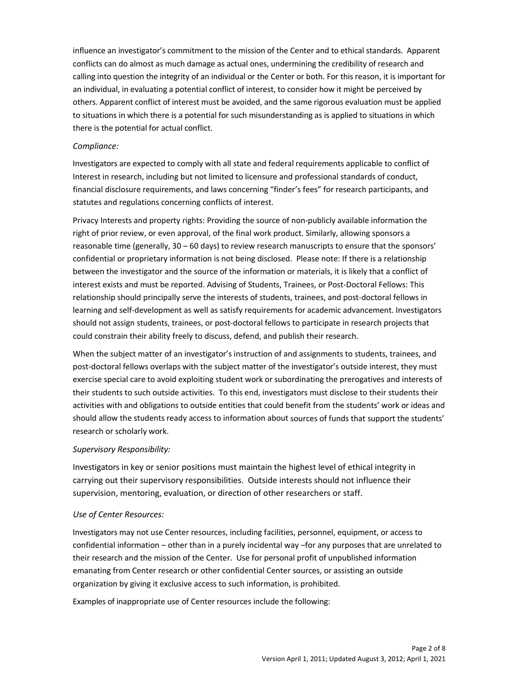influence an investigator's commitment to the mission of the Center and to ethical standards. Apparent conflicts can do almost as much damage as actual ones, undermining the credibility of research and calling into question the integrity of an individual or the Center or both. For this reason, it is important for an individual, in evaluating a potential conflict of interest, to consider how it might be perceived by others. Apparent conflict of interest must be avoided, and the same rigorous evaluation must be applied to situations in which there is a potential for such misunderstanding as is applied to situations in which there is the potential for actual conflict.

### *Compliance:*

Investigators are expected to comply with all state and federal requirements applicable to conflict of Interest in research, including but not limited to licensure and professional standards of conduct, financial disclosure requirements, and laws concerning "finder's fees" for research participants, and statutes and regulations concerning conflicts of interest.

Privacy Interests and property rights: Providing the source of non-publicly available information the right of prior review, or even approval, of the final work product. Similarly, allowing sponsors a reasonable time (generally, 30 – 60 days) to review research manuscripts to ensure that the sponsors' confidential or proprietary information is not being disclosed. Please note: If there is a relationship between the investigator and the source of the information or materials, it is likely that a conflict of interest exists and must be reported. Advising of Students, Trainees, or Post-Doctoral Fellows: This relationship should principally serve the interests of students, trainees, and post-doctoral fellows in learning and self-development as well as satisfy requirements for academic advancement. Investigators should not assign students, trainees, or post-doctoral fellows to participate in research projects that could constrain their ability freely to discuss, defend, and publish their research.

When the subject matter of an investigator's instruction of and assignments to students, trainees, and post-doctoral fellows overlaps with the subject matter of the investigator's outside interest, they must exercise special care to avoid exploiting student work or subordinating the prerogatives and interests of their students to such outside activities. To this end, investigators must disclose to their students their activities with and obligations to outside entities that could benefit from the students' work or ideas and should allow the students ready access to information about sources of funds that support the students' research or scholarly work.

## *Supervisory Responsibility:*

Investigators in key or senior positions must maintain the highest level of ethical integrity in carrying out their supervisory responsibilities. Outside interests should not influence their supervision, mentoring, evaluation, or direction of other researchers or staff.

### *Use of Center Resources:*

Investigators may not use Center resources, including facilities, personnel, equipment, or access to confidential information – other than in a purely incidental way –for any purposes that are unrelated to their research and the mission of the Center. Use for personal profit of unpublished information emanating from Center research or other confidential Center sources, or assisting an outside organization by giving it exclusive access to such information, is prohibited.

Examples of inappropriate use of Center resources include the following: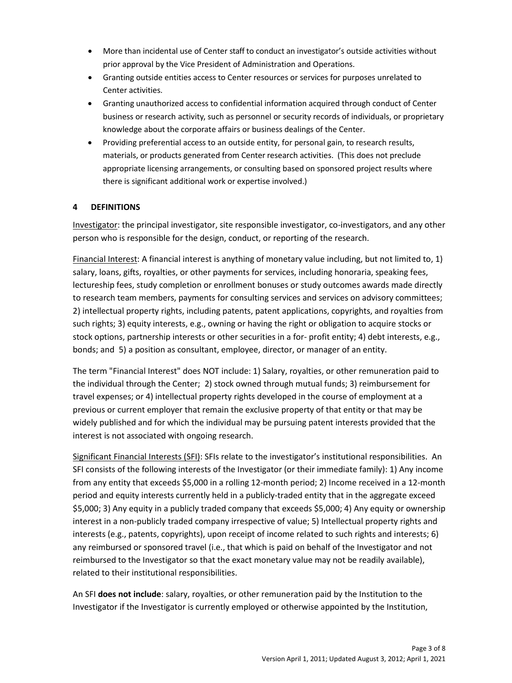- More than incidental use of Center staff to conduct an investigator's outside activities without prior approval by the Vice President of Administration and Operations.
- Granting outside entities access to Center resources or services for purposes unrelated to Center activities.
- Granting unauthorized access to confidential information acquired through conduct of Center business or research activity, such as personnel or security records of individuals, or proprietary knowledge about the corporate affairs or business dealings of the Center.
- Providing preferential access to an outside entity, for personal gain, to research results, materials, or products generated from Center research activities. (This does not preclude appropriate licensing arrangements, or consulting based on sponsored project results where there is significant additional work or expertise involved.)

## **4 DEFINITIONS**

Investigator: the principal investigator, site responsible investigator, co-investigators, and any other person who is responsible for the design, conduct, or reporting of the research.

Financial Interest: A financial interest is anything of monetary value including, but not limited to, 1) salary, loans, gifts, royalties, or other payments for services, including honoraria, speaking fees, lectureship fees, study completion or enrollment bonuses or study outcomes awards made directly to research team members, payments for consulting services and services on advisory committees; 2) intellectual property rights, including patents, patent applications, copyrights, and royalties from such rights; 3) equity interests, e.g., owning or having the right or obligation to acquire stocks or stock options, partnership interests or other securities in a for- profit entity; 4) debt interests, e.g., bonds; and 5) a position as consultant, employee, director, or manager of an entity.

The term "Financial Interest" does NOT include: 1) Salary, royalties, or other remuneration paid to the individual through the Center; 2) stock owned through mutual funds; 3) reimbursement for travel expenses; or 4) intellectual property rights developed in the course of employment at a previous or current employer that remain the exclusive property of that entity or that may be widely published and for which the individual may be pursuing patent interests provided that the interest is not associated with ongoing research.

Significant Financial Interests (SFI): SFIs relate to the investigator's institutional responsibilities. An SFI consists of the following interests of the Investigator (or their immediate family): 1) Any income from any entity that exceeds \$5,000 in a rolling 12-month period; 2) Income received in a 12-month period and equity interests currently held in a publicly-traded entity that in the aggregate exceed \$5,000; 3) Any equity in a publicly traded company that exceeds \$5,000; 4) Any equity or ownership interest in a non-publicly traded company irrespective of value; 5) Intellectual property rights and interests (e.g., patents, copyrights), upon receipt of income related to such rights and interests; 6) any reimbursed or sponsored travel (i.e., that which is paid on behalf of the Investigator and not reimbursed to the Investigator so that the exact monetary value may not be readily available), related to their institutional responsibilities.

An SFI **does not include**: salary, royalties, or other remuneration paid by the Institution to the Investigator if the Investigator is currently employed or otherwise appointed by the Institution,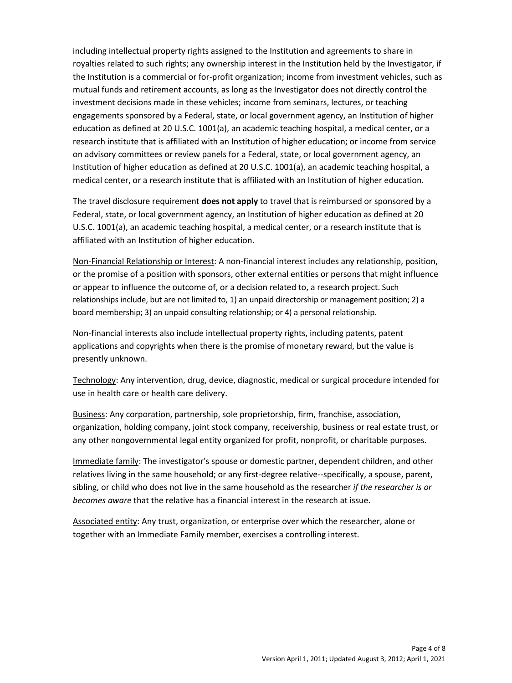including intellectual property rights assigned to the Institution and agreements to share in royalties related to such rights; any ownership interest in the Institution held by the Investigator, if the Institution is a commercial or for-profit organization; income from investment vehicles, such as mutual funds and retirement accounts, as long as the Investigator does not directly control the investment decisions made in these vehicles; income from seminars, lectures, or teaching engagements sponsored by a Federal, state, or local government agency, an Institution of higher education as defined at 20 U.S.C. 1001(a), an academic teaching hospital, a medical center, or a research institute that is affiliated with an Institution of higher education; or income from service on advisory committees or review panels for a Federal, state, or local government agency, an Institution of higher education as defined at 20 U.S.C. 1001(a), an academic teaching hospital, a medical center, or a research institute that is affiliated with an Institution of higher education.

The travel disclosure requirement **does not apply** to travel that is reimbursed or sponsored by a Federal, state, or local government agency, an Institution of higher education as defined at 20 U.S.C. 1001(a), an academic teaching hospital, a medical center, or a research institute that is affiliated with an Institution of higher education.

Non-Financial Relationship or Interest: A non-financial interest includes any relationship, position, or the promise of a position with sponsors, other external entities or persons that might influence or appear to influence the outcome of, or a decision related to, a research project. Such relationships include, but are not limited to, 1) an unpaid directorship or management position; 2) a board membership; 3) an unpaid consulting relationship; or 4) a personal relationship.

Non-financial interests also include intellectual property rights, including patents, patent applications and copyrights when there is the promise of monetary reward, but the value is presently unknown.

Technology: Any intervention, drug, device, diagnostic, medical or surgical procedure intended for use in health care or health care delivery.

Business: Any corporation, partnership, sole proprietorship, firm, franchise, association, organization, holding company, joint stock company, receivership, business or real estate trust, or any other nongovernmental legal entity organized for profit, nonprofit, or charitable purposes.

Immediate family: The investigator's spouse or domestic partner, dependent children, and other relatives living in the same household; or any first-degree relative--specifically, a spouse, parent, sibling, or child who does not live in the same household as the researcher *if the researcher is or becomes aware* that the relative has a financial interest in the research at issue.

Associated entity: Any trust, organization, or enterprise over which the researcher, alone or together with an Immediate Family member, exercises a controlling interest.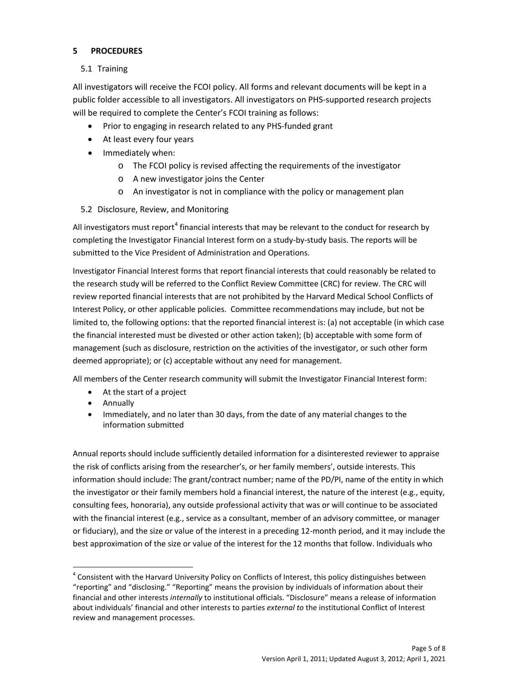## **5 PROCEDURES**

## 5.1 Training

All investigators will receive the FCOI policy. All forms and relevant documents will be kept in a public folder accessible to all investigators. All investigators on PHS-supported research projects will be required to complete the Center's FCOI training as follows:

- Prior to engaging in research related to any PHS-funded grant
- At least every four years
- Immediately when:
	- o The FCOI policy is revised affecting the requirements of the investigator
	- o A new investigator joins the Center
	- o An investigator is not in compliance with the policy or management plan
- 5.2 Disclosure, Review, and Monitoring

All investigators must report<sup>[4](#page-4-0)</sup> financial interests that may be relevant to the conduct for research by completing the Investigator Financial Interest form on a study-by-study basis. The reports will be submitted to the Vice President of Administration and Operations.

Investigator Financial Interest forms that report financial interests that could reasonably be related to the research study will be referred to the Conflict Review Committee (CRC) for review. The CRC will review reported financial interests that are not prohibited by the Harvard Medical School Conflicts of Interest Policy, or other applicable policies. Committee recommendations may include, but not be limited to, the following options: that the reported financial interest is: (a) not acceptable (in which case the financial interested must be divested or other action taken); (b) acceptable with some form of management (such as disclosure, restriction on the activities of the investigator, or such other form deemed appropriate); or (c) acceptable without any need for management.

All members of the Center research community will submit the Investigator Financial Interest form:

- At the start of a project
- Annually
- Immediately, and no later than 30 days, from the date of any material changes to the information submitted

Annual reports should include sufficiently detailed information for a disinterested reviewer to appraise the risk of conflicts arising from the researcher's, or her family members', outside interests. This information should include: The grant/contract number; name of the PD/PI, name of the entity in which the investigator or their family members hold a financial interest, the nature of the interest (e.g., equity, consulting fees, honoraria), any outside professional activity that was or will continue to be associated with the financial interest (e.g., service as a consultant, member of an advisory committee, or manager or fiduciary), and the size or value of the interest in a preceding 12-month period, and it may include the best approximation of the size or value of the interest for the 12 months that follow. Individuals who

<span id="page-4-0"></span><sup>&</sup>lt;sup>4</sup> Consistent with the Harvard University Policy on Conflicts of Interest, this policy distinguishes between "reporting" and "disclosing." "Reporting" means the provision by individuals of information about their financial and other interests *internally* to institutional officials. "Disclosure" means a release of information about individuals' financial and other interests to parties *external to* the institutional Conflict of Interest review and management processes.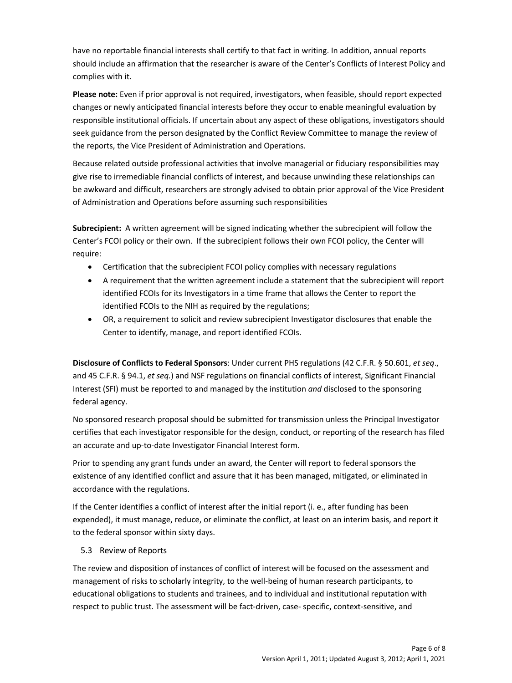have no reportable financial interests shall certify to that fact in writing. In addition, annual reports should include an affirmation that the researcher is aware of the Center's Conflicts of Interest Policy and complies with it.

**Please note:** Even if prior approval is not required, investigators, when feasible, should report expected changes or newly anticipated financial interests before they occur to enable meaningful evaluation by responsible institutional officials. If uncertain about any aspect of these obligations, investigators should seek guidance from the person designated by the Conflict Review Committee to manage the review of the reports, the Vice President of Administration and Operations.

Because related outside professional activities that involve managerial or fiduciary responsibilities may give rise to irremediable financial conflicts of interest, and because unwinding these relationships can be awkward and difficult, researchers are strongly advised to obtain prior approval of the Vice President of Administration and Operations before assuming such responsibilities

**Subrecipient:** A written agreement will be signed indicating whether the subrecipient will follow the Center's FCOI policy or their own. If the subrecipient follows their own FCOI policy, the Center will require:

- Certification that the subrecipient FCOI policy complies with necessary regulations
- A requirement that the written agreement include a statement that the subrecipient will report identified FCOIs for its Investigators in a time frame that allows the Center to report the identified FCOIs to the NIH as required by the regulations;
- OR, a requirement to solicit and review subrecipient Investigator disclosures that enable the Center to identify, manage, and report identified FCOIs.

**Disclosure of Conflicts to Federal Sponsors**: Under current PHS regulations (42 C.F.R. § 50.601, *et seq*., and 45 C.F.R. § 94.1, *et seq.*) and NSF regulations on financial conflicts of interest, Significant Financial Interest (SFI) must be reported to and managed by the institution *and* disclosed to the sponsoring federal agency.

No sponsored research proposal should be submitted for transmission unless the Principal Investigator certifies that each investigator responsible for the design, conduct, or reporting of the research has filed an accurate and up-to-date Investigator Financial Interest form.

Prior to spending any grant funds under an award, the Center will report to federal sponsors the existence of any identified conflict and assure that it has been managed, mitigated, or eliminated in accordance with the regulations.

If the Center identifies a conflict of interest after the initial report (i. e., after funding has been expended), it must manage, reduce, or eliminate the conflict, at least on an interim basis, and report it to the federal sponsor within sixty days.

## 5.3 Review of Reports

The review and disposition of instances of conflict of interest will be focused on the assessment and management of risks to scholarly integrity, to the well-being of human research participants, to educational obligations to students and trainees, and to individual and institutional reputation with respect to public trust. The assessment will be fact-driven, case- specific, context-sensitive, and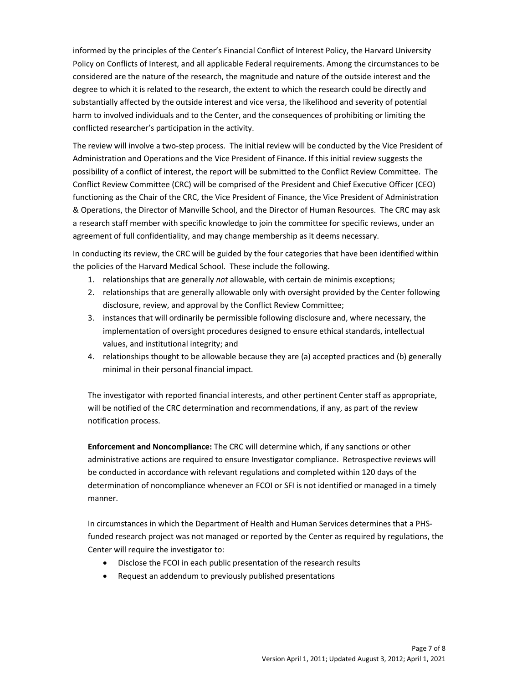informed by the principles of the Center's Financial Conflict of Interest Policy, the Harvard University Policy on Conflicts of Interest, and all applicable Federal requirements. Among the circumstances to be considered are the nature of the research, the magnitude and nature of the outside interest and the degree to which it is related to the research, the extent to which the research could be directly and substantially affected by the outside interest and vice versa, the likelihood and severity of potential harm to involved individuals and to the Center, and the consequences of prohibiting or limiting the conflicted researcher's participation in the activity.

The review will involve a two-step process. The initial review will be conducted by the Vice President of Administration and Operations and the Vice President of Finance. If this initial review suggests the possibility of a conflict of interest, the report will be submitted to the Conflict Review Committee. The Conflict Review Committee (CRC) will be comprised of the President and Chief Executive Officer (CEO) functioning as the Chair of the CRC, the Vice President of Finance, the Vice President of Administration & Operations, the Director of Manville School, and the Director of Human Resources. The CRC may ask a research staff member with specific knowledge to join the committee for specific reviews, under an agreement of full confidentiality, and may change membership as it deems necessary.

In conducting its review, the CRC will be guided by the four categories that have been identified within the policies of the Harvard Medical School. These include the following.

- 1. relationships that are generally *not* allowable, with certain de minimis exceptions;
- 2. relationships that are generally allowable only with oversight provided by the Center following disclosure, review, and approval by the Conflict Review Committee;
- 3. instances that will ordinarily be permissible following disclosure and, where necessary, the implementation of oversight procedures designed to ensure ethical standards, intellectual values, and institutional integrity; and
- 4. relationships thought to be allowable because they are (a) accepted practices and (b) generally minimal in their personal financial impact.

The investigator with reported financial interests, and other pertinent Center staff as appropriate, will be notified of the CRC determination and recommendations, if any, as part of the review notification process.

**Enforcement and Noncompliance:** The CRC will determine which, if any sanctions or other administrative actions are required to ensure Investigator compliance. Retrospective reviews will be conducted in accordance with relevant regulations and completed within 120 days of the determination of noncompliance whenever an FCOI or SFI is not identified or managed in a timely manner.

In circumstances in which the Department of Health and Human Services determines that a PHSfunded research project was not managed or reported by the Center as required by regulations, the Center will require the investigator to:

- Disclose the FCOI in each public presentation of the research results
- Request an addendum to previously published presentations